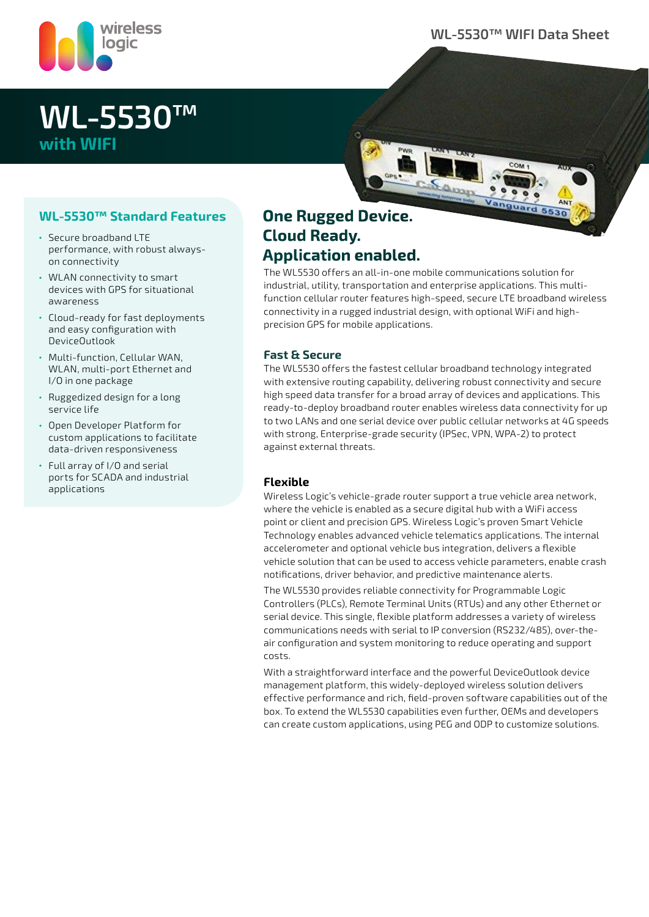

### **WL-5530™ WIFI Data Sheet**

# **WL-5530™ with WIFI**

### **WL-5530™ Standard Features**

- Secure broadband LTE performance, with robust alwayson connectivity
- WLAN connectivity to smart devices with GPS for situational awareness
- Cloud-ready for fast deployments and easy configuration with DeviceOutlook
- Multi-function, Cellular WAN, WLAN, multi-port Ethernet and I/O in one package
- Ruggedized design for a long service life
- Open Developer Platform for custom applications to facilitate data-driven responsiveness
- Full array of I/O and serial ports for SCADA and industrial applications

### **One Rugged Device. Cloud Ready. Application enabled.**

The WL5530 offers an all-in-one mobile communications solution for industrial, utility, transportation and enterprise applications. This multifunction cellular router features high-speed, secure LTE broadband wireless connectivity in a rugged industrial design, with optional WiFi and highprecision GPS for mobile applications.

Samp

### **Fast & Secure**

The WL5530 offers the fastest cellular broadband technology integrated with extensive routing capability, delivering robust connectivity and secure high speed data transfer for a broad array of devices and applications. This ready-to-deploy broadband router enables wireless data connectivity for up to two LANs and one serial device over public cellular networks at 4G speeds with strong, Enterprise-grade security (IPSec, VPN, WPA-2) to protect against external threats.

#### **Flexible**

Wireless Logic's vehicle-grade router support a true vehicle area network, where the vehicle is enabled as a secure digital hub with a WiFi access point or client and precision GPS. Wireless Logic's proven Smart Vehicle Technology enables advanced vehicle telematics applications. The internal accelerometer and optional vehicle bus integration, delivers a flexible vehicle solution that can be used to access vehicle parameters, enable crash notifications, driver behavior, and predictive maintenance alerts.

The WL5530 provides reliable connectivity for Programmable Logic Controllers (PLCs), Remote Terminal Units (RTUs) and any other Ethernet or serial device. This single, flexible platform addresses a variety of wireless communications needs with serial to IP conversion (RS232/485), over-theair configuration and system monitoring to reduce operating and support costs.

With a straightforward interface and the powerful DeviceOutlook device management platform, this widely-deployed wireless solution delivers effective performance and rich, field-proven software capabilities out of the box. To extend the WL5530 capabilities even further, OEMs and developers can create custom applications, using PEG and ODP to customize solutions.